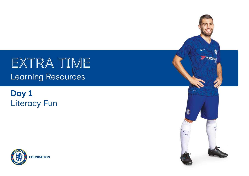EXTRA TIME Learning Resources

# **Day 1** Literacy Fun



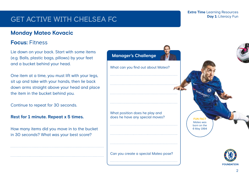# GET active with Chelsea fc

## **Monday Mateo Kovacic**

## **Focus:** Fitness

Lie down on your back. Start with some items (e.g. Balls, plastic bags, pillows) by your feet and a bucket behind your head.

One item at a time, you must lift with your legs, sit up and take with your hands, then lie back down arms straight above your head and place the item in the bucket behind you.

Continue to repeat for 30 seconds.

#### **Rest for 1 minute. Repeat x 5 times.**

How many items did you move in to the bucket in 30 seconds? What was your best score?



#### **Extra Time** Learning Resources **Day 1: Literacy Fun**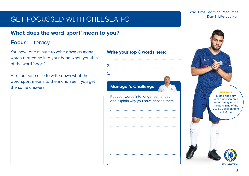# GET focussed with Chelsea fc

## **What does the word 'sport' mean to you?**

## **Focus:** Literacy

You have one minute to write down as many words that come into your head when you think of the word 'sport.'

Ask someone else to write down what the word sport means to them and see if you get the same answers!

### **Write your top 3 words here:**

## **Manager's Challenge**

Put your words into longer sentences and explain why you have chosen them: **Extra Time** Learning Resources **Day 1: Literacy Fun** 

> **FUN FACT** Mateo originally joined Chelsea on a season-long loan at the beginning of the 2018/19 season from Real Madrid



**FOUNDATION**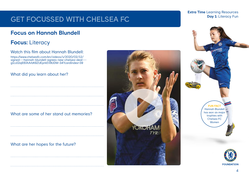# GET focussed with Chelsea fc

## **Focus on Hannah Blundell**

## **Focus:** Literacy

### Watch this film about Hannah Blundell: https://www.chelseafc.com/en/videos/v/2020/02/12/

signed---hannah-blundell-agrees-new-chelsea-deal-- g1czI2ajE6JAArbK8ZUEprkEV9UDM-34?cardIndex=39

### What did you learn about her?

### What are some of her stand out memories?

### What are her hopes for the future?



#### **Extra Time** Learning Resources **Day 1: Literacy Fun**



**FOUNDATION**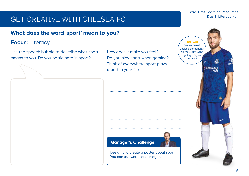# GET creative with Chelsea fc

#### **Extra Time** Learning Resources **Day 1: Literacy Fun**

## **What does the word 'sport' mean to you?**

## **Focus:** Literacy

Use the speech bubble to describe what sport means to you. Do you participate in sport?

How does it make you feel? Do you play sport when gaming? Think of everywhere sport plays a part in your life.



Design and create a poster about sport. You can use words and images.